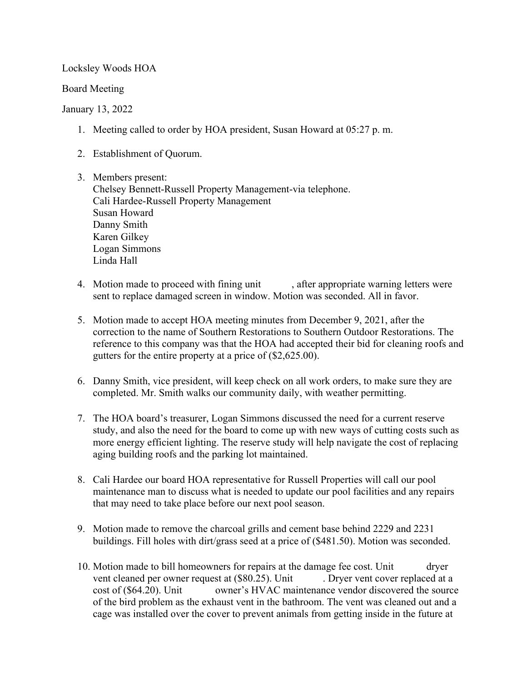Locksley Woods HOA

Board Meeting

## January 13, 2022

- 1. Meeting called to order by HOA president, Susan Howard at 05:27 p. m.
- 2. Establishment of Quorum.

3. Members present: Chelsey Bennett-Russell Property Management-via telephone. Cali Hardee-Russell Property Management Susan Howard Danny Smith Karen Gilkey Logan Simmons Linda Hall

- 4. Motion made to proceed with fining unit , after appropriate warning letters were sent to replace damaged screen in window. Motion was seconded. All in favor.
- 5. Motion made to accept HOA meeting minutes from December 9, 2021, after the correction to the name of Southern Restorations to Southern Outdoor Restorations. The reference to this company was that the HOA had accepted their bid for cleaning roofs and gutters for the entire property at a price of (\$2,625.00).
- 6. Danny Smith, vice president, will keep check on all work orders, to make sure they are completed. Mr. Smith walks our community daily, with weather permitting.
- 7. The HOA board's treasurer, Logan Simmons discussed the need for a current reserve study, and also the need for the board to come up with new ways of cutting costs such as more energy efficient lighting. The reserve study will help navigate the cost of replacing aging building roofs and the parking lot maintained.
- 8. Cali Hardee our board HOA representative for Russell Properties will call our pool maintenance man to discuss what is needed to update our pool facilities and any repairs that may need to take place before our next pool season.
- 9. Motion made to remove the charcoal grills and cement base behind 2229 and 2231 buildings. Fill holes with dirt/grass seed at a price of (\$481.50). Motion was seconded.
- 10. Motion made to bill homeowners for repairs at the damage fee cost. Unit dryer vent cleaned per owner request at (\$80.25). Unit Dryer vent cover replaced at a cost of (\$64.20). Unit wowner's HVAC maintenance vendor discovered the source of the bird problem as the exhaust vent in the bathroom. The vent was cleaned out and a cage was installed over the cover to prevent animals from getting inside in the future at